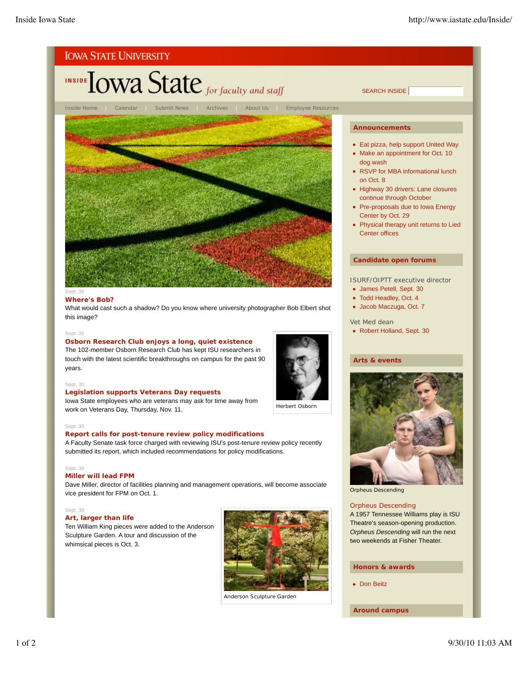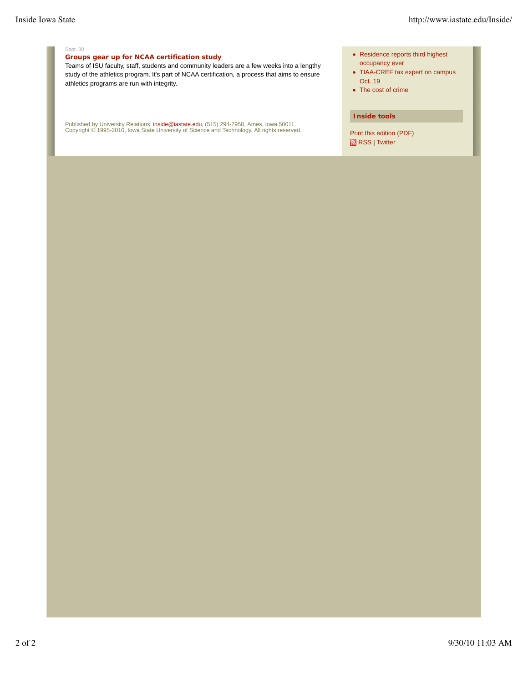#### Sept. 30

#### **Groups gear up for NCAA certification study**

Teams of ISU faculty, staff, students and community leaders are a few weeks into a lengthy study of the athletics program. It's part of NCAA certification, a process that aims to ensure athletics programs are run with integrity.

Published by University Relations, i**nside@iastate.edu**, (515) 294-7958, Ames, Iowa 50011.<br>Copyright © 1995-2010, Iowa State University of Science and Technology. All rights reserved.

- Residence reports third highest occupancy ever
- TIAA-CREF tax expert on campus Oct. 19
- The cost of crime

#### **Inside tools**

Print this edition (PDF) RSS | Twitter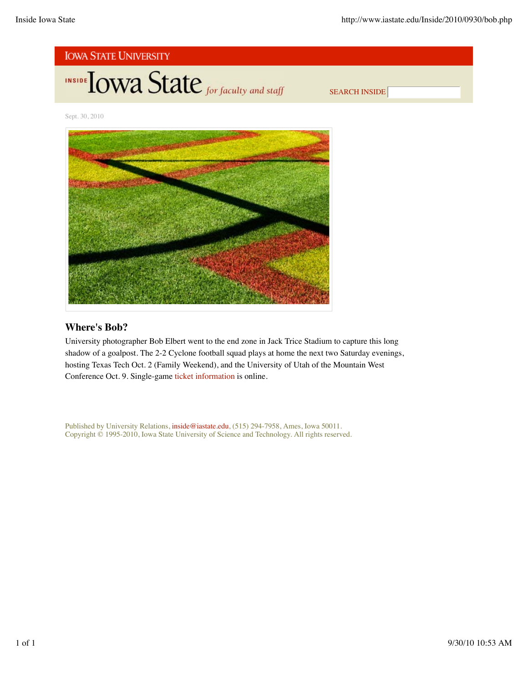

Sept. 30, 2010



### **Where's Bob?**

University photographer Bob Elbert went to the end zone in Jack Trice Stadium to capture this long shadow of a goalpost. The 2-2 Cyclone football squad plays at home the next two Saturday evenings, hosting Texas Tech Oct. 2 (Family Weekend), and the University of Utah of the Mountain West Conference Oct. 9. Single-game ticket information is online.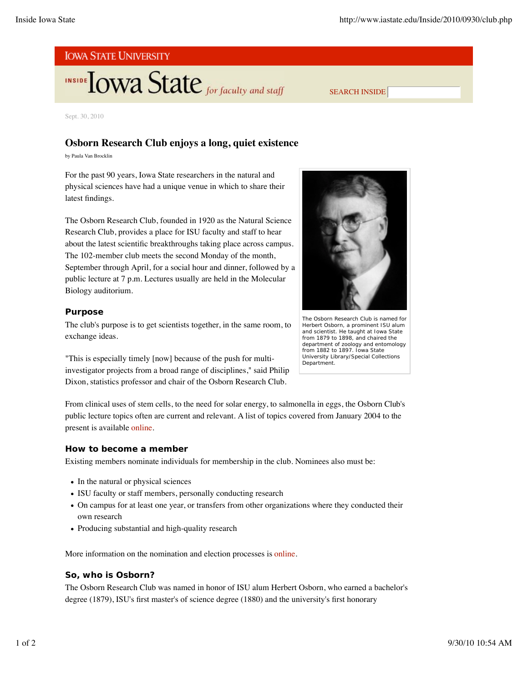# **INSIDE TOWA State** for faculty and staff

Sept. 30, 2010

### **Osborn Research Club enjoys a long, quiet existence**

by Paula Van Brocklin

For the past 90 years, Iowa State researchers in the natural and physical sciences have had a unique venue in which to share their latest findings.

The Osborn Research Club, founded in 1920 as the Natural Science Research Club, provides a place for ISU faculty and staff to hear about the latest scientific breakthroughs taking place across campus. The 102-member club meets the second Monday of the month, September through April, for a social hour and dinner, followed by a public lecture at 7 p.m. Lectures usually are held in the Molecular Biology auditorium.

#### **Purpose**

The club's purpose is to get scientists together, in the same room, to exchange ideas.

"This is especially timely [now] because of the push for multiinvestigator projects from a broad range of disciplines," said Philip Dixon, statistics professor and chair of the Osborn Research Club.



SEARCH INSIDE

The Osborn Research Club is named for Herbert Osborn, a prominent ISU alum and scientist. He taught at Iowa State from 1879 to 1898, and chaired the department of zoology and entomology from 1882 to 1897. *Iowa State University Library/Special Collections Department.*

From clinical uses of stem cells, to the need for solar energy, to salmonella in eggs, the Osborn Club's public lecture topics often are current and relevant. A list of topics covered from January 2004 to the present is available online.

#### **How to become a member**

Existing members nominate individuals for membership in the club. Nominees also must be:

- In the natural or physical sciences
- ISU faculty or staff members, personally conducting research
- On campus for at least one year, or transfers from other organizations where they conducted their own research
- Producing substantial and high-quality research

More information on the nomination and election processes is online.

#### **So, who is Osborn?**

The Osborn Research Club was named in honor of ISU alum Herbert Osborn, who earned a bachelor's degree (1879), ISU's first master's of science degree (1880) and the university's first honorary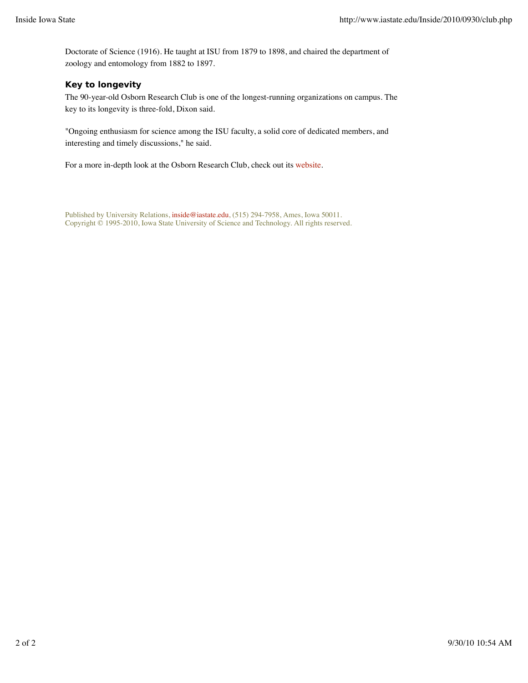Doctorate of Science (1916). He taught at ISU from 1879 to 1898, and chaired the department of zoology and entomology from 1882 to 1897.

### **Key to longevity**

The 90-year-old Osborn Research Club is one of the longest-running organizations on campus. The key to its longevity is three-fold, Dixon said.

"Ongoing enthusiasm for science among the ISU faculty, a solid core of dedicated members, and interesting and timely discussions," he said.

For a more in-depth look at the Osborn Research Club, check out its website.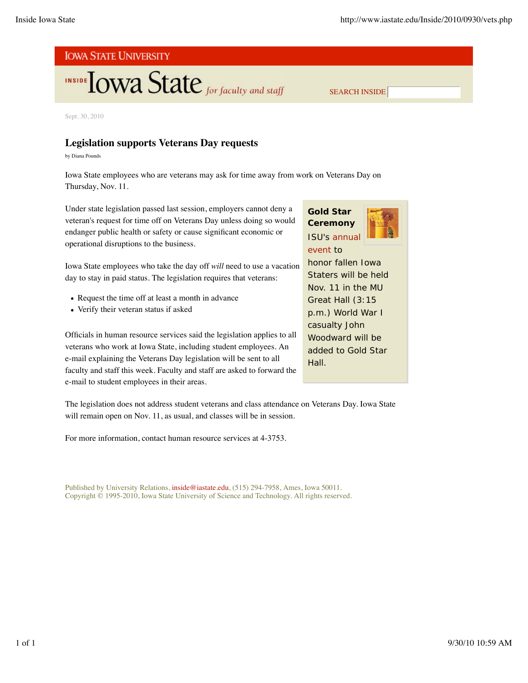# **INSIDE TOWA State** for faculty and staff

Sept. 30, 2010

## **Legislation supports Veterans Day requests**

by Diana Pounds

Iowa State employees who are veterans may ask for time away from work on Veterans Day on Thursday, Nov. 11.

Under state legislation passed last session, employers cannot deny a veteran's request for time off on Veterans Day unless doing so would endanger public health or safety or cause significant economic or operational disruptions to the business.

Iowa State employees who take the day off *will* need to use a vacation day to stay in paid status. The legislation requires that veterans:

- Request the time off at least a month in advance
- Verify their veteran status if asked

Officials in human resource services said the legislation applies to all veterans who work at Iowa State, including student employees. An e-mail explaining the Veterans Day legislation will be sent to all faculty and staff this week. Faculty and staff are asked to forward the e-mail to student employees in their areas.

**Gold Star Ceremony** ISU's annual



SEARCH INSIDE

honor fallen Iowa Staters will be held Nov. 11 in the MU Great Hall (3:15 p.m.) World War I casualty John Woodward will be added to Gold Star Hall.

The legislation does not address student veterans and class attendance on Veterans Day. Iowa State will remain open on Nov. 11, as usual, and classes will be in session.

For more information, contact human resource services at 4-3753.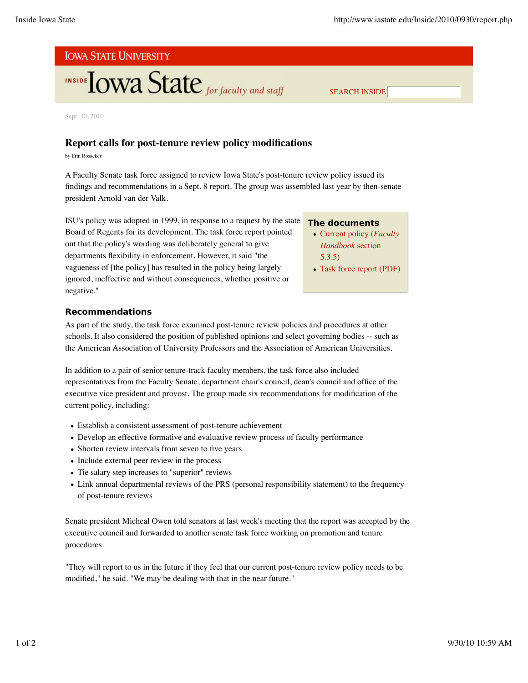# **INSIDE TOWA State** for faculty and staff

Sept. 30, 2010

### **Report calls for post-tenure review policy modifications**

by Erin Rosacker

A Faculty Senate task force assigned to review Iowa State's post-tenure review policy issued its findings and recommendations in a Sept. 8 report. The group was assembled last year by then-senate president Arnold van der Valk.

ISU's policy was adopted in 1999, in response to a request by the state Board of Regents for its development. The task force report pointed out that the policy's wording was deliberately general to give departments flexibility in enforcement. However, it said "the vagueness of [the policy] has resulted in the policy being largely ignored, ineffective and without consequences, whether positive or negative."

#### **The documents**

Current policy (*Faculty Handbook* section 5.3.5)

SEARCH INSIDE

Task force report (PDF)

#### **Recommendations**

As part of the study, the task force examined post-tenure review policies and procedures at other schools. It also considered the position of published opinions and select governing bodies -- such as the American Association of University Professors and the Association of American Universities.

In addition to a pair of senior tenure-track faculty members, the task force also included representatives from the Faculty Senate, department chair's council, dean's council and office of the executive vice president and provost. The group made six recommendations for modification of the current policy, including:

- Establish a consistent assessment of post-tenure achievement
- Develop an effective formative and evaluative review process of faculty performance
- Shorten review intervals from seven to five years
- Include external peer review in the process
- Tie salary step increases to "superior" reviews
- Link annual departmental reviews of the PRS (personal responsibility statement) to the frequency of post-tenure reviews

Senate president Micheal Owen told senators at last week's meeting that the report was accepted by the executive council and forwarded to another senate task force working on promotion and tenure procedures.

"They will report to us in the future if they feel that our current post-tenure review policy needs to be modified," he said. "We may be dealing with that in the near future."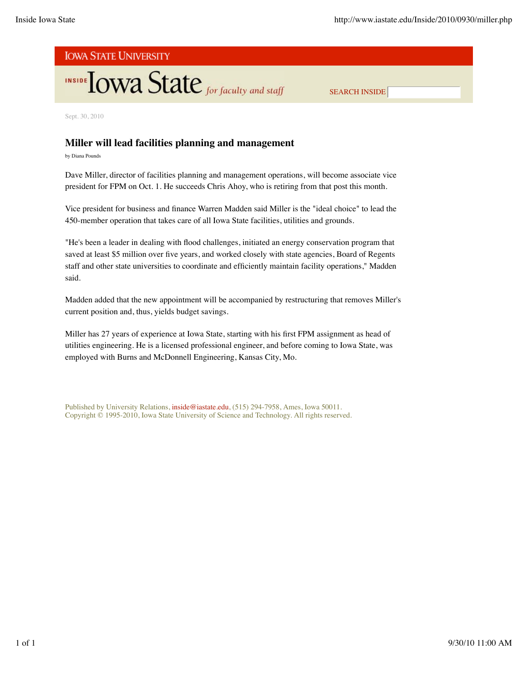# **INSIDE TOWA State** for faculty and staff

SEARCH INSIDE

Sept. 30, 2010

## **Miller will lead facilities planning and management**

by Diana Pounds

Dave Miller, director of facilities planning and management operations, will become associate vice president for FPM on Oct. 1. He succeeds Chris Ahoy, who is retiring from that post this month.

Vice president for business and finance Warren Madden said Miller is the "ideal choice" to lead the 450-member operation that takes care of all Iowa State facilities, utilities and grounds.

"He's been a leader in dealing with flood challenges, initiated an energy conservation program that saved at least \$5 million over five years, and worked closely with state agencies, Board of Regents staff and other state universities to coordinate and efficiently maintain facility operations," Madden said.

Madden added that the new appointment will be accompanied by restructuring that removes Miller's current position and, thus, yields budget savings.

Miller has 27 years of experience at Iowa State, starting with his first FPM assignment as head of utilities engineering. He is a licensed professional engineer, and before coming to Iowa State, was employed with Burns and McDonnell Engineering, Kansas City, Mo.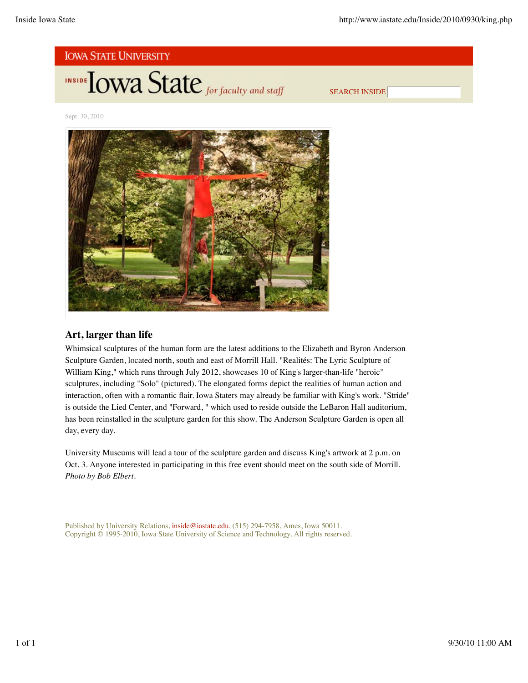

**INSIDE TOWA State** for faculty and staff

SEARCH INSIDE

Sept. 30, 2010



### **Art, larger than life**

Whimsical sculptures of the human form are the latest additions to the Elizabeth and Byron Anderson Sculpture Garden, located north, south and east of Morrill Hall. "Realités: The Lyric Sculpture of William King," which runs through July 2012, showcases 10 of King's larger-than-life "heroic" sculptures, including "Solo" (pictured). The elongated forms depict the realities of human action and interaction, often with a romantic flair. Iowa Staters may already be familiar with King's work. "Stride" is outside the Lied Center, and "Forward, " which used to reside outside the LeBaron Hall auditorium, has been reinstalled in the sculpture garden for this show. The Anderson Sculpture Garden is open all day, every day.

University Museums will lead a tour of the sculpture garden and discuss King's artwork at 2 p.m. on Oct. 3. Anyone interested in participating in this free event should meet on the south side of Morrill. *Photo by Bob Elbert.*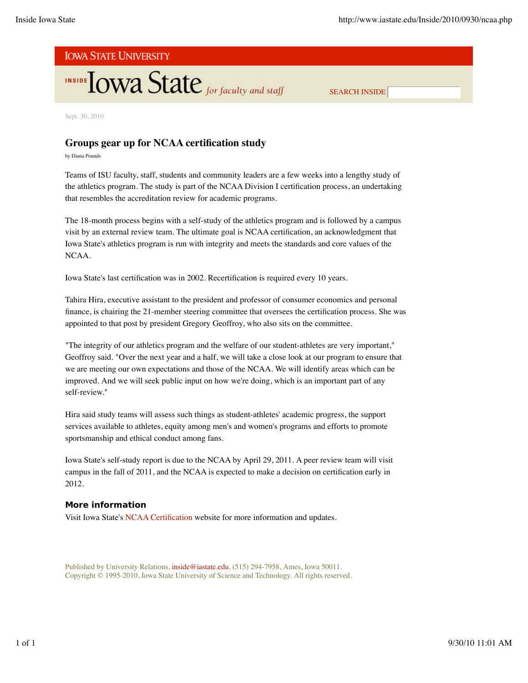# INSIDE TOWA State for faculty and staff

SEARCH INSIDE

Sept. 30, 2010

## **Groups gear up for NCAA certification study**

by Diana Pounds

Teams of ISU faculty, staff, students and community leaders are a few weeks into a lengthy study of the athletics program. The study is part of the NCAA Division I certification process, an undertaking that resembles the accreditation review for academic programs.

The 18-month process begins with a self-study of the athletics program and is followed by a campus visit by an external review team. The ultimate goal is NCAA certification, an acknowledgment that Iowa State's athletics program is run with integrity and meets the standards and core values of the NCAA.

Iowa State's last certification was in 2002. Recertification is required every 10 years.

Tahira Hira, executive assistant to the president and professor of consumer economics and personal finance, is chairing the 21-member steering committee that oversees the certification process. She was appointed to that post by president Gregory Geoffroy, who also sits on the committee.

"The integrity of our athletics program and the welfare of our student-athletes are very important," Geoffroy said. "Over the next year and a half, we will take a close look at our program to ensure that we are meeting our own expectations and those of the NCAA. We will identify areas which can be improved. And we will seek public input on how we're doing, which is an important part of any self-review."

Hira said study teams will assess such things as student-athletes' academic progress, the support services available to athletes, equity among men's and women's programs and efforts to promote sportsmanship and ethical conduct among fans.

Iowa State's self-study report is due to the NCAA by April 29, 2011. A peer review team will visit campus in the fall of 2011, and the NCAA is expected to make a decision on certification early in 2012.

#### **More information**

Visit Iowa State's NCAA Certification website for more information and updates.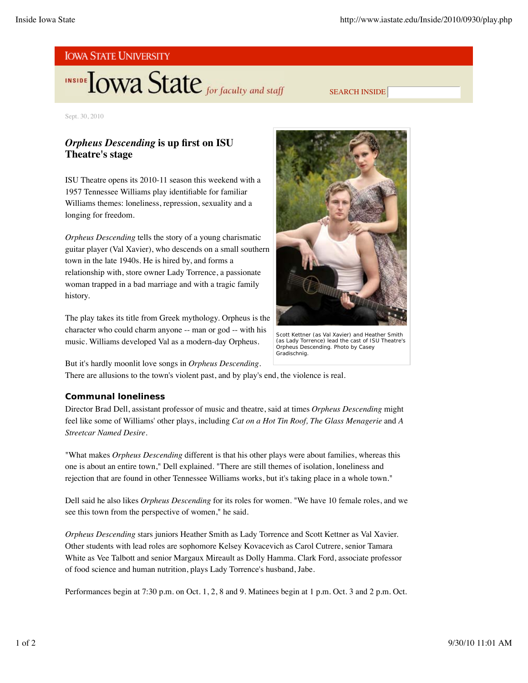# **INSIDE TOWA State** for faculty and staff

SEARCH INSIDE

Sept. 30, 2010

## *Orpheus Descending* **is up first on ISU Theatre's stage**

ISU Theatre opens its 2010-11 season this weekend with a 1957 Tennessee Williams play identifiable for familiar Williams themes: loneliness, repression, sexuality and a longing for freedom.

*Orpheus Descending* tells the story of a young charismatic guitar player (Val Xavier), who descends on a small southern town in the late 1940s. He is hired by, and forms a relationship with, store owner Lady Torrence, a passionate woman trapped in a bad marriage and with a tragic family history.

The play takes its title from Greek mythology. Orpheus is the character who could charm anyone -- man or god -- with his music. Williams developed Val as a modern-day Orpheus.

But it's hardly moonlit love songs in *Orpheus Descending*. There are allusions to the town's violent past, and by play's end, the violence is real.

### **Communal loneliness**

Director Brad Dell, assistant professor of music and theatre, said at times *Orpheus Descending* might feel like some of Williams' other plays, including *Cat on a Hot Tin Roof, The Glass Menagerie* and *A Streetcar Named Desire.*

"What makes *Orpheus Descending* different is that his other plays were about families, whereas this one is about an entire town," Dell explained. "There are still themes of isolation, loneliness and rejection that are found in other Tennessee Williams works, but it's taking place in a whole town."

Dell said he also likes *Orpheus Descending* for its roles for women. "We have 10 female roles, and we see this town from the perspective of women," he said.

*Orpheus Descending* stars juniors Heather Smith as Lady Torrence and Scott Kettner as Val Xavier. Other students with lead roles are sophomore Kelsey Kovacevich as Carol Cutrere, senior Tamara White as Vee Talbott and senior Margaux Mireault as Dolly Hamma. Clark Ford, associate professor of food science and human nutrition, plays Lady Torrence's husband, Jabe.

Performances begin at 7:30 p.m. on Oct. 1, 2, 8 and 9. Matinees begin at 1 p.m. Oct. 3 and 2 p.m. Oct.



Scott Kettner (as Val Xavier) and Heather Smith (as Lady Torrence) lead the cast of ISU Theatre's *Orpheus Descending. Photo by Casey Gradischnig.*